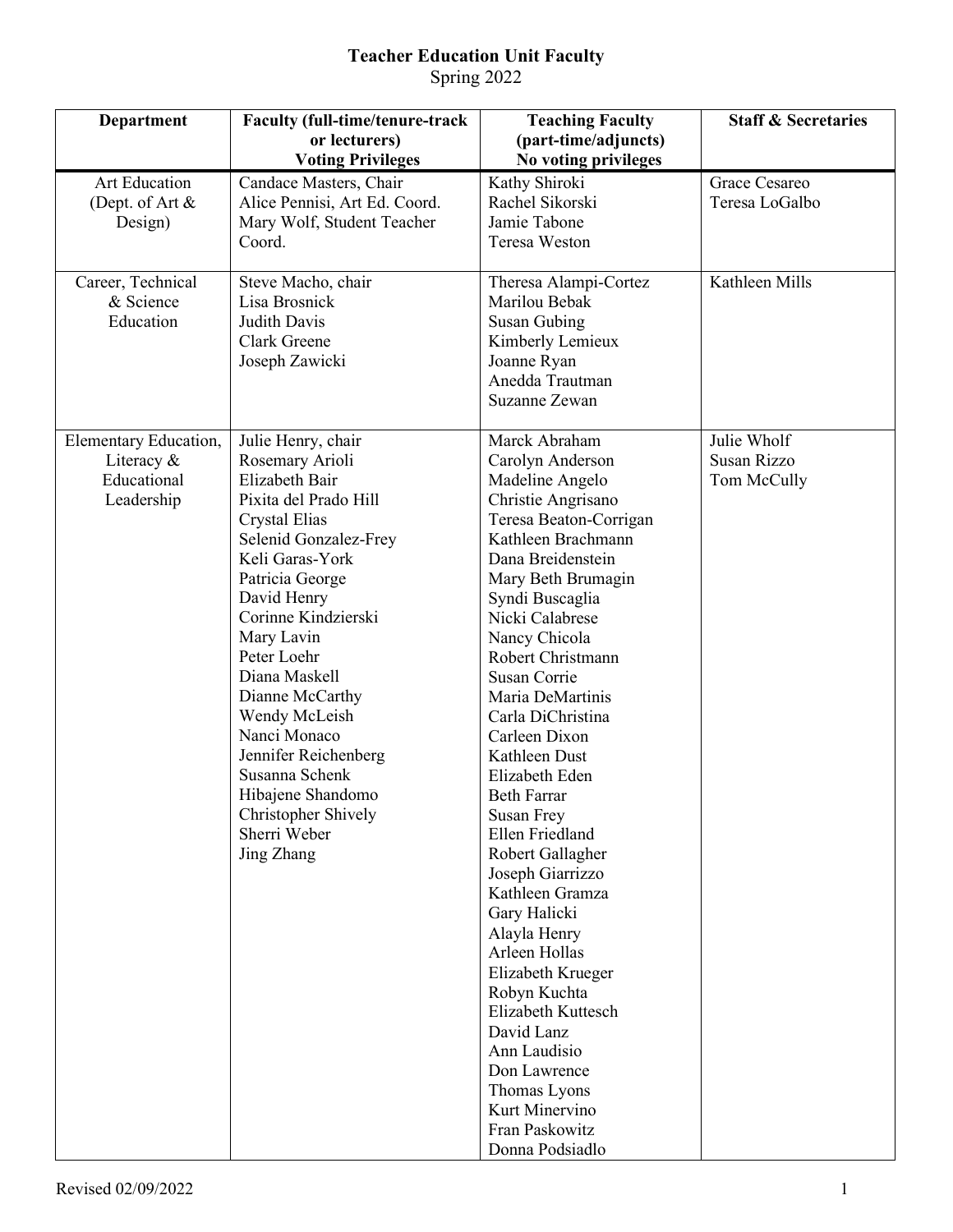## **Teacher Education Unit Faculty** Spring 2022

| Department                                                       | <b>Faculty (full-time/tenure-track</b>                                                                                                                                                                                                                                                                                                                                                                                       | <b>Teaching Faculty</b>                                                                                                                                                                                                                                                                                                                                                                                                                                                                                                                                                                                                                                                                                           | <b>Staff &amp; Secretaries</b>            |
|------------------------------------------------------------------|------------------------------------------------------------------------------------------------------------------------------------------------------------------------------------------------------------------------------------------------------------------------------------------------------------------------------------------------------------------------------------------------------------------------------|-------------------------------------------------------------------------------------------------------------------------------------------------------------------------------------------------------------------------------------------------------------------------------------------------------------------------------------------------------------------------------------------------------------------------------------------------------------------------------------------------------------------------------------------------------------------------------------------------------------------------------------------------------------------------------------------------------------------|-------------------------------------------|
|                                                                  | or lecturers)<br><b>Voting Privileges</b>                                                                                                                                                                                                                                                                                                                                                                                    | (part-time/adjuncts)<br>No voting privileges                                                                                                                                                                                                                                                                                                                                                                                                                                                                                                                                                                                                                                                                      |                                           |
| <b>Art Education</b><br>(Dept. of Art &<br>Design)               | Candace Masters, Chair<br>Alice Pennisi, Art Ed. Coord.<br>Mary Wolf, Student Teacher<br>Coord.                                                                                                                                                                                                                                                                                                                              | Kathy Shiroki<br>Rachel Sikorski<br>Jamie Tabone<br><b>Teresa Weston</b>                                                                                                                                                                                                                                                                                                                                                                                                                                                                                                                                                                                                                                          | Grace Cesareo<br>Teresa LoGalbo           |
| Career, Technical<br>& Science<br>Education                      | Steve Macho, chair<br>Lisa Brosnick<br><b>Judith Davis</b><br>Clark Greene<br>Joseph Zawicki                                                                                                                                                                                                                                                                                                                                 | Theresa Alampi-Cortez<br>Marilou Bebak<br>Susan Gubing<br>Kimberly Lemieux<br>Joanne Ryan<br>Anedda Trautman<br>Suzanne Zewan                                                                                                                                                                                                                                                                                                                                                                                                                                                                                                                                                                                     | Kathleen Mills                            |
| Elementary Education,<br>Literacy &<br>Educational<br>Leadership | Julie Henry, chair<br>Rosemary Arioli<br>Elizabeth Bair<br>Pixita del Prado Hill<br>Crystal Elias<br>Selenid Gonzalez-Frey<br>Keli Garas-York<br>Patricia George<br>David Henry<br>Corinne Kindzierski<br>Mary Lavin<br>Peter Loehr<br>Diana Maskell<br>Dianne McCarthy<br>Wendy McLeish<br>Nanci Monaco<br>Jennifer Reichenberg<br>Susanna Schenk<br>Hibajene Shandomo<br>Christopher Shively<br>Sherri Weber<br>Jing Zhang | Marck Abraham<br>Carolyn Anderson<br>Madeline Angelo<br>Christie Angrisano<br>Teresa Beaton-Corrigan<br>Kathleen Brachmann<br>Dana Breidenstein<br>Mary Beth Brumagin<br>Syndi Buscaglia<br>Nicki Calabrese<br>Nancy Chicola<br>Robert Christmann<br>Susan Corrie<br>Maria DeMartinis<br>Carla DiChristina<br>Carleen Dixon<br>Kathleen Dust<br>Elizabeth Eden<br><b>Beth Farrar</b><br>Susan Frey<br>Ellen Friedland<br>Robert Gallagher<br>Joseph Giarrizzo<br>Kathleen Gramza<br>Gary Halicki<br>Alayla Henry<br>Arleen Hollas<br>Elizabeth Krueger<br>Robyn Kuchta<br>Elizabeth Kuttesch<br>David Lanz<br>Ann Laudisio<br>Don Lawrence<br>Thomas Lyons<br>Kurt Minervino<br>Fran Paskowitz<br>Donna Podsiadlo | Julie Wholf<br>Susan Rizzo<br>Tom McCully |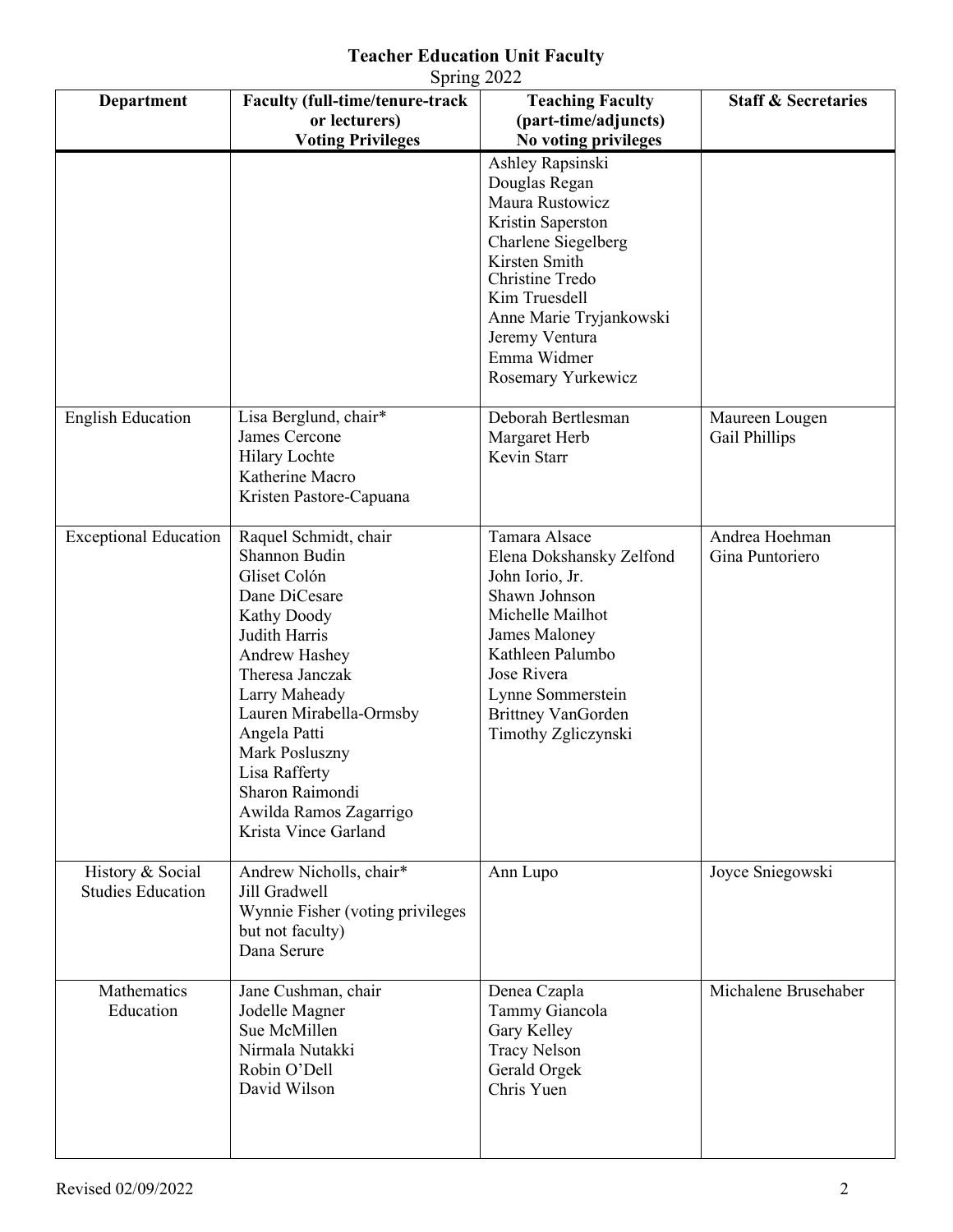## **Teacher Education Unit Faculty**

| Spring 2022                                  |                                                                                                                                                                                                                                                                                                                        |                                                                                                                                                                                                                                         |                                   |  |  |
|----------------------------------------------|------------------------------------------------------------------------------------------------------------------------------------------------------------------------------------------------------------------------------------------------------------------------------------------------------------------------|-----------------------------------------------------------------------------------------------------------------------------------------------------------------------------------------------------------------------------------------|-----------------------------------|--|--|
| Department                                   | <b>Faculty (full-time/tenure-track</b><br>or lecturers)<br><b>Voting Privileges</b>                                                                                                                                                                                                                                    | <b>Teaching Faculty</b><br>(part-time/adjuncts)<br>No voting privileges                                                                                                                                                                 | <b>Staff &amp; Secretaries</b>    |  |  |
|                                              |                                                                                                                                                                                                                                                                                                                        | Ashley Rapsinski<br>Douglas Regan<br>Maura Rustowicz<br>Kristin Saperston<br>Charlene Siegelberg<br>Kirsten Smith<br>Christine Tredo<br>Kim Truesdell<br>Anne Marie Tryjankowski<br>Jeremy Ventura<br>Emma Widmer<br>Rosemary Yurkewicz |                                   |  |  |
| <b>English Education</b>                     | Lisa Berglund, chair*<br>James Cercone<br><b>Hilary Lochte</b><br>Katherine Macro<br>Kristen Pastore-Capuana                                                                                                                                                                                                           | Deborah Bertlesman<br>Margaret Herb<br>Kevin Starr                                                                                                                                                                                      | Maureen Lougen<br>Gail Phillips   |  |  |
| <b>Exceptional Education</b>                 | Raquel Schmidt, chair<br>Shannon Budin<br>Gliset Colón<br>Dane DiCesare<br><b>Kathy Doody</b><br>Judith Harris<br>Andrew Hashey<br>Theresa Janczak<br>Larry Maheady<br>Lauren Mirabella-Ormsby<br>Angela Patti<br>Mark Posluszny<br>Lisa Rafferty<br>Sharon Raimondi<br>Awilda Ramos Zagarrigo<br>Krista Vince Garland | Tamara Alsace<br>Elena Dokshansky Zelfond<br>John Iorio, Jr.<br>Shawn Johnson<br>Michelle Mailhot<br>James Maloney<br>Kathleen Palumbo<br>Jose Rivera<br>Lynne Sommerstein<br><b>Brittney VanGorden</b><br>Timothy Zgliczynski          | Andrea Hoehman<br>Gina Puntoriero |  |  |
| History & Social<br><b>Studies Education</b> | Andrew Nicholls, chair*<br>Jill Gradwell<br>Wynnie Fisher (voting privileges<br>but not faculty)<br>Dana Serure                                                                                                                                                                                                        | Ann Lupo                                                                                                                                                                                                                                | Joyce Sniegowski                  |  |  |
| Mathematics<br>Education                     | Jane Cushman, chair<br>Jodelle Magner<br>Sue McMillen<br>Nirmala Nutakki<br>Robin O'Dell<br>David Wilson                                                                                                                                                                                                               | Denea Czapla<br>Tammy Giancola<br>Gary Kelley<br><b>Tracy Nelson</b><br>Gerald Orgek<br>Chris Yuen                                                                                                                                      | Michalene Brusehaber              |  |  |